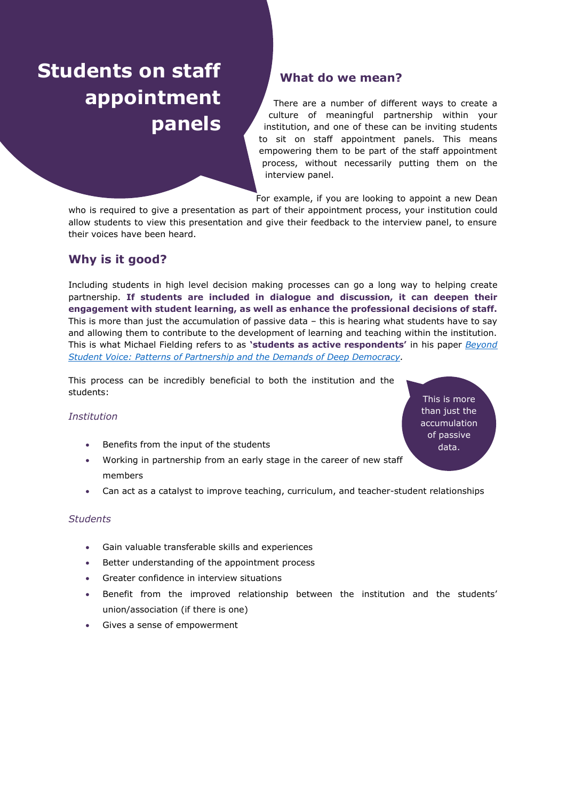# **Students on staff appointment panels**

# **What do we mean?**

There are a number of different ways to create a culture of meaningful partnership within your institution, and one of these can be inviting students to sit on staff appointment panels. This means empowering them to be part of the staff appointment process, without necessarily putting them on the interview panel.

For example, if you are looking to appoint a new Dean

who is required to give a presentation as part of their appointment process, your institution could allow students to view this presentation and give their feedback to the interview panel, to ensure their voices have been heard.

## **Why is it good?**

Including students in high level decision making processes can go a long way to helping create partnership. **If students are included in dialogue and discussion, it can deepen their engagement with student learning, as well as enhance the professional decisions of staff.** This is more than just the accumulation of passive data – this is hearing what students have to say and allowing them to contribute to the development of learning and teaching within the institution. This is what Michael Fielding refers to as **'students as active respondents'** in his paper *[Beyond](https://www.researchgate.net/profile/Michael_Fielding/publication/278124043_Beyond_Student_Voice_Patterns_of_Partnership_and_the_Demands_of_Deep_Democracy/links/55898f2e08ae273b2876cbb5.pdf)  [Student Voice: Patterns of Partnership and the Demands of Deep Democracy.](https://www.researchgate.net/profile/Michael_Fielding/publication/278124043_Beyond_Student_Voice_Patterns_of_Partnership_and_the_Demands_of_Deep_Democracy/links/55898f2e08ae273b2876cbb5.pdf)* 

This process can be incredibly beneficial to both the institution and the students:

#### *Institution*

- Benefits from the input of the students
- Working in partnership from an early stage in the career of new staff members
- Can act as a catalyst to improve teaching, curriculum, and teacher-student relationships

#### *Students*

- Gain valuable transferable skills and experiences
- Better understanding of the appointment process
- Greater confidence in interview situations
- Benefit from the improved relationship between the institution and the students' union/association (if there is one)
- Gives a sense of empowerment

This is more than just the accumulation of passive data.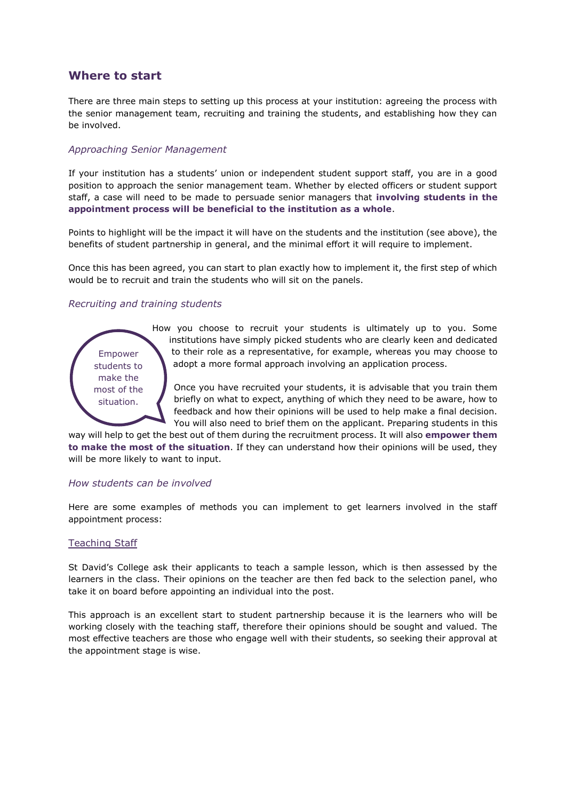### **Where to start**

There are three main steps to setting up this process at your institution: agreeing the process with the senior management team, recruiting and training the students, and establishing how they can be involved.

#### *Approaching Senior Management*

If your institution has a students' union or independent student support staff, you are in a good position to approach the senior management team. Whether by elected officers or student support staff, a case will need to be made to persuade senior managers that **involving students in the appointment process will be beneficial to the institution as a whole**.

Points to highlight will be the impact it will have on the students and the institution (see above), the benefits of student partnership in general, and the minimal effort it will require to implement.

Once this has been agreed, you can start to plan exactly how to implement it, the first step of which would be to recruit and train the students who will sit on the panels.

#### *Recruiting and training students*



How you choose to recruit your students is ultimately up to you. Some institutions have simply picked students who are clearly keen and dedicated to their role as a representative, for example, whereas you may choose to adopt a more formal approach involving an application process.

Once you have recruited your students, it is advisable that you train them briefly on what to expect, anything of which they need to be aware, how to feedback and how their opinions will be used to help make a final decision. You will also need to brief them on the applicant. Preparing students in this

way will help to get the best out of them during the recruitment process. It will also **empower them to make the most of the situation**. If they can understand how their opinions will be used, they will be more likely to want to input.

#### *How students can be involved*

Here are some examples of methods you can implement to get learners involved in the staff appointment process:

#### Teaching Staff

St David's College ask their applicants to teach a sample lesson, which is then assessed by the learners in the class. Their opinions on the teacher are then fed back to the selection panel, who take it on board before appointing an individual into the post.

This approach is an excellent start to student partnership because it is the learners who will be working closely with the teaching staff, therefore their opinions should be sought and valued. The most effective teachers are those who engage well with their students, so seeking their approval at the appointment stage is wise.